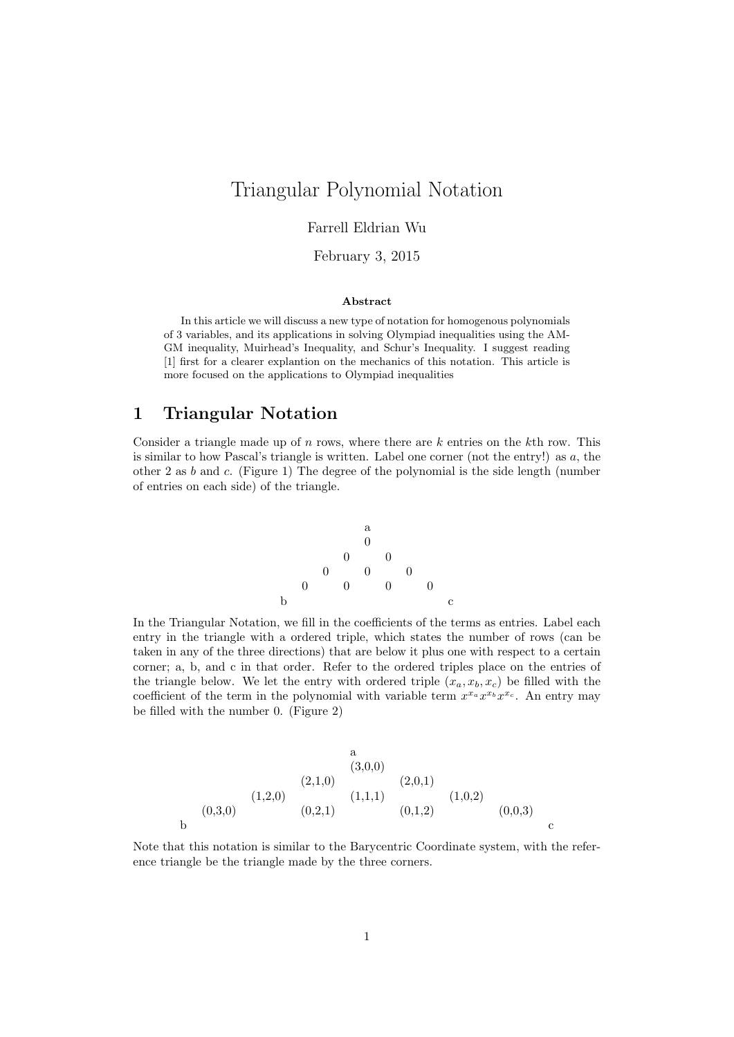# Triangular Polynomial Notation

## Farrell Eldrian Wu

February 3, 2015

#### Abstract

In this article we will discuss a new type of notation for homogenous polynomials of 3 variables, and its applications in solving Olympiad inequalities using the AM-GM inequality, Muirhead's Inequality, and Schur's Inequality. I suggest reading [1] first for a clearer explantion on the mechanics of this notation. This article is more focused on the applications to Olympiad inequalities

# 1 Triangular Notation

Consider a triangle made up of n rows, where there are  $k$  entries on the kth row. This is similar to how Pascal's triangle is written. Label one corner (not the entry!) as  $a$ , the other 2 as  $b$  and  $c$ . (Figure 1) The degree of the polynomial is the side length (number of entries on each side) of the triangle.

a 0 0 0 0 0 0 0 0 0 0 b c

In the Triangular Notation, we fill in the coefficients of the terms as entries. Label each entry in the triangle with a ordered triple, which states the number of rows (can be taken in any of the three directions) that are below it plus one with respect to a certain corner; a, b, and c in that order. Refer to the ordered triples place on the entries of the triangle below. We let the entry with ordered triple  $(x_a, x_b, x_c)$  be filled with the coefficient of the term in the polynomial with variable term  $x^{x_a}x^{x_b}x^{x_c}$ . An entry may be filled with the number 0. (Figure 2)

$$
(1,2,0)
$$
\n
$$
(1,2,0)
$$
\n
$$
(0,3,0)
$$
\n
$$
(0,2,1)
$$
\n
$$
(0,2,1)
$$
\n
$$
(0,1,2)
$$
\n
$$
(0,0,3)
$$
\n
$$
(0,0,0)
$$
\n
$$
(0,0,0)
$$
\n
$$
(0,0,0)
$$
\n
$$
(0,0,0)
$$
\n
$$
(0,0,0)
$$

Note that this notation is similar to the Barycentric Coordinate system, with the reference triangle be the triangle made by the three corners.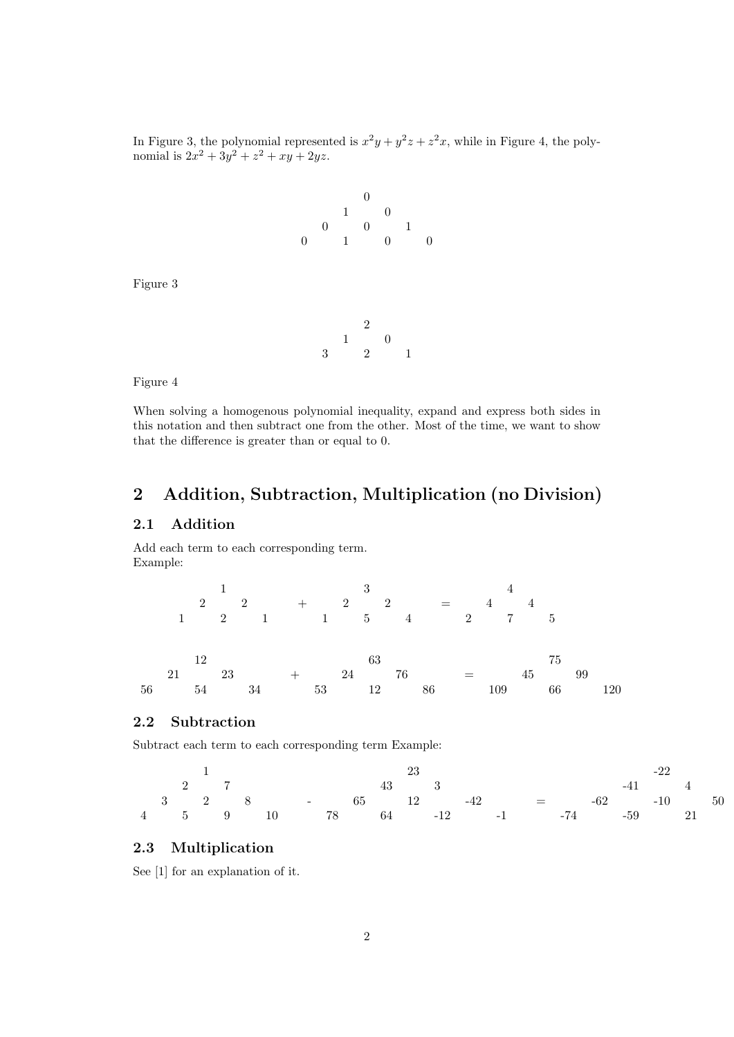In Figure 3, the polynomial represented is  $x^2y + y^2z + z^2x$ , while in Figure 4, the polynomial is  $2x^2 + 3y^2 + z^2 + xy + 2yz$ .



Figure 3

2 1 0 3 2 1

Figure 4

When solving a homogenous polynomial inequality, expand and express both sides in this notation and then subtract one from the other. Most of the time, we want to show that the difference is greater than or equal to 0.

# 2 Addition, Subtraction, Multiplication (no Division)

# 2.1 Addition

Add each term to each corresponding term. Example:

 $1$   $3$   $4$  $2 \qquad 2 \qquad + \qquad 2 \qquad 2 \qquad = \qquad 4 \qquad 4$ 1 2 1 1 5 4 2 7 5  $12 \t\t 63 \t\t 75$ 21 23  $+$  24 76  $=$  45 99 56 54 34 53 12 86 109 66 120

# 2.2 Subtraction

Subtract each term to each corresponding term Example:

|  |  |  |                                                                    |  |  |  | 23 |  | $-22$   |  |  |
|--|--|--|--------------------------------------------------------------------|--|--|--|----|--|---------|--|--|
|  |  |  | 2 7 43 $3$                                                         |  |  |  |    |  | $-41$ 4 |  |  |
|  |  |  | $3 \t 2 \t 8 \t - \t 65 \t 12 \t -42 \t - \t - \t 62 \t -10 \t 50$ |  |  |  |    |  |         |  |  |
|  |  |  | 4 5 9 10 78 64 -12 -1 -74 -59 21                                   |  |  |  |    |  |         |  |  |

# 2.3 Multiplication

See [1] for an explanation of it.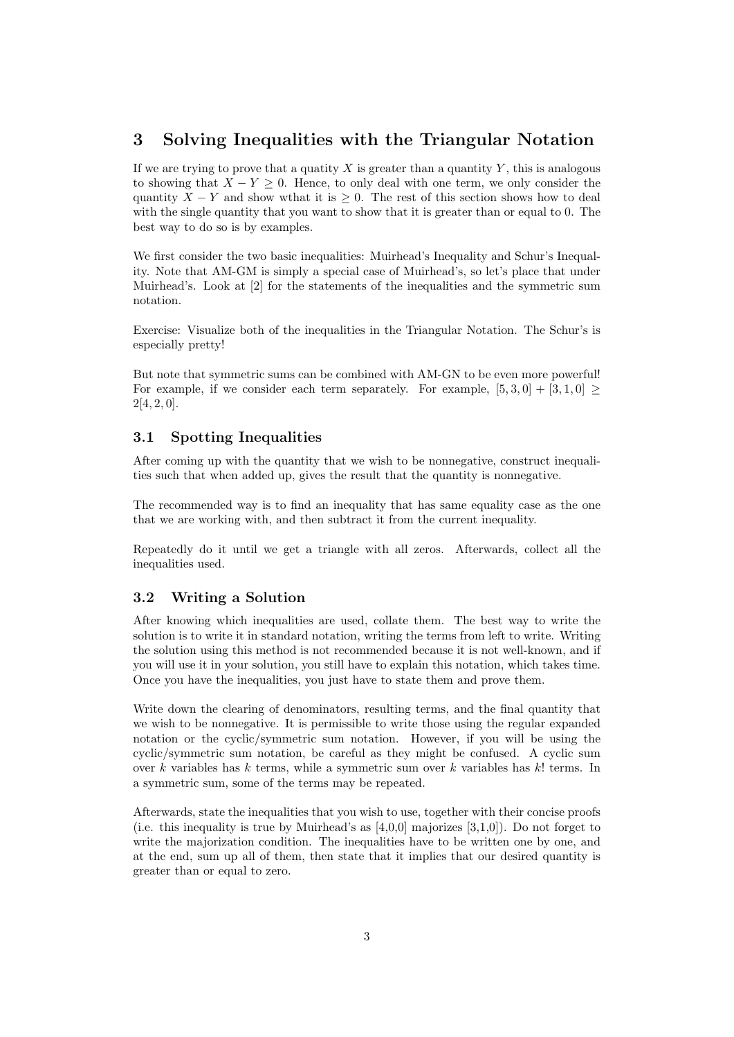# 3 Solving Inequalities with the Triangular Notation

If we are trying to prove that a quatity X is greater than a quantity Y, this is analogous to showing that  $X - Y \geq 0$ . Hence, to only deal with one term, we only consider the quantity  $X - Y$  and show wthat it is  $\geq 0$ . The rest of this section shows how to deal with the single quantity that you want to show that it is greater than or equal to 0. The best way to do so is by examples.

We first consider the two basic inequalities: Muirhead's Inequality and Schur's Inequality. Note that AM-GM is simply a special case of Muirhead's, so let's place that under Muirhead's. Look at [2] for the statements of the inequalities and the symmetric sum notation.

Exercise: Visualize both of the inequalities in the Triangular Notation. The Schur's is especially pretty!

But note that symmetric sums can be combined with AM-GN to be even more powerful! For example, if we consider each term separately. For example,  $[5,3,0] + [3,1,0] \ge$  $2[4, 2, 0].$ 

# 3.1 Spotting Inequalities

After coming up with the quantity that we wish to be nonnegative, construct inequalities such that when added up, gives the result that the quantity is nonnegative.

The recommended way is to find an inequality that has same equality case as the one that we are working with, and then subtract it from the current inequality.

Repeatedly do it until we get a triangle with all zeros. Afterwards, collect all the inequalities used.

## 3.2 Writing a Solution

After knowing which inequalities are used, collate them. The best way to write the solution is to write it in standard notation, writing the terms from left to write. Writing the solution using this method is not recommended because it is not well-known, and if you will use it in your solution, you still have to explain this notation, which takes time. Once you have the inequalities, you just have to state them and prove them.

Write down the clearing of denominators, resulting terms, and the final quantity that we wish to be nonnegative. It is permissible to write those using the regular expanded notation or the cyclic/symmetric sum notation. However, if you will be using the cyclic/symmetric sum notation, be careful as they might be confused. A cyclic sum over k variables has k terms, while a symmetric sum over k variables has  $k!$  terms. In a symmetric sum, some of the terms may be repeated.

Afterwards, state the inequalities that you wish to use, together with their concise proofs (i.e. this inequality is true by Muirhead's as  $[4,0,0]$  majorizes  $[3,1,0]$ ). Do not forget to write the majorization condition. The inequalities have to be written one by one, and at the end, sum up all of them, then state that it implies that our desired quantity is greater than or equal to zero.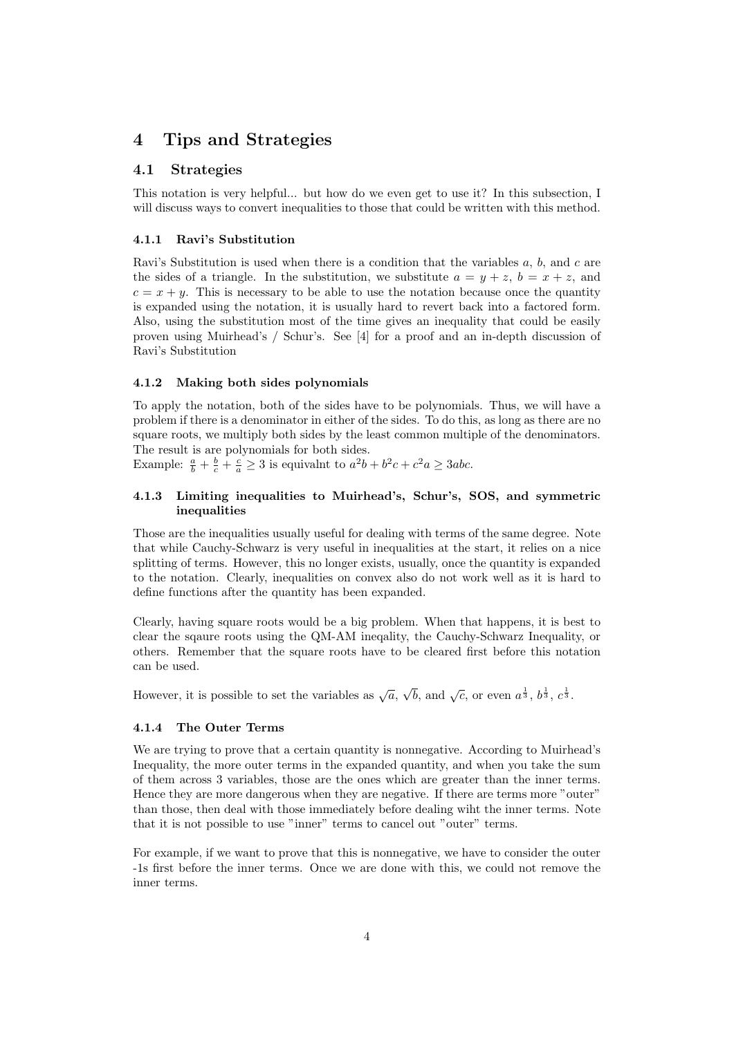# 4 Tips and Strategies

# 4.1 Strategies

This notation is very helpful... but how do we even get to use it? In this subsection, I will discuss ways to convert inequalities to those that could be written with this method.

### 4.1.1 Ravi's Substitution

Ravi's Substitution is used when there is a condition that the variables  $a, b$ , and  $c$  are the sides of a triangle. In the substitution, we substitute  $a = y + z$ ,  $b = x + z$ , and  $c = x + y$ . This is necessary to be able to use the notation because once the quantity is expanded using the notation, it is usually hard to revert back into a factored form. Also, using the substitution most of the time gives an inequality that could be easily proven using Muirhead's / Schur's. See [4] for a proof and an in-depth discussion of Ravi's Substitution

#### 4.1.2 Making both sides polynomials

To apply the notation, both of the sides have to be polynomials. Thus, we will have a problem if there is a denominator in either of the sides. To do this, as long as there are no square roots, we multiply both sides by the least common multiple of the denominators. The result is are polynomials for both sides.

Example:  $\frac{a}{b} + \frac{b}{c} + \frac{c}{a} \ge 3$  is equivalnt to  $a^2b + b^2c + c^2a \ge 3abc$ .

### 4.1.3 Limiting inequalities to Muirhead's, Schur's, SOS, and symmetric inequalities

Those are the inequalities usually useful for dealing with terms of the same degree. Note that while Cauchy-Schwarz is very useful in inequalities at the start, it relies on a nice splitting of terms. However, this no longer exists, usually, once the quantity is expanded to the notation. Clearly, inequalities on convex also do not work well as it is hard to define functions after the quantity has been expanded.

Clearly, having square roots would be a big problem. When that happens, it is best to clear the sqaure roots using the QM-AM ineqality, the Cauchy-Schwarz Inequality, or others. Remember that the square roots have to be cleared first before this notation can be used.

However, it is possible to set the variables as  $\sqrt{a}$ ,  $\sqrt{b}$ , and  $\sqrt{c}$ , or even  $a^{\frac{1}{3}}$ ,  $b^{\frac{1}{3}}$ ,  $c^{\frac{1}{3}}$ .

### 4.1.4 The Outer Terms

We are trying to prove that a certain quantity is nonnegative. According to Muirhead's Inequality, the more outer terms in the expanded quantity, and when you take the sum of them across 3 variables, those are the ones which are greater than the inner terms. Hence they are more dangerous when they are negative. If there are terms more "outer" than those, then deal with those immediately before dealing wiht the inner terms. Note that it is not possible to use "inner" terms to cancel out "outer" terms.

For example, if we want to prove that this is nonnegative, we have to consider the outer -1s first before the inner terms. Once we are done with this, we could not remove the inner terms.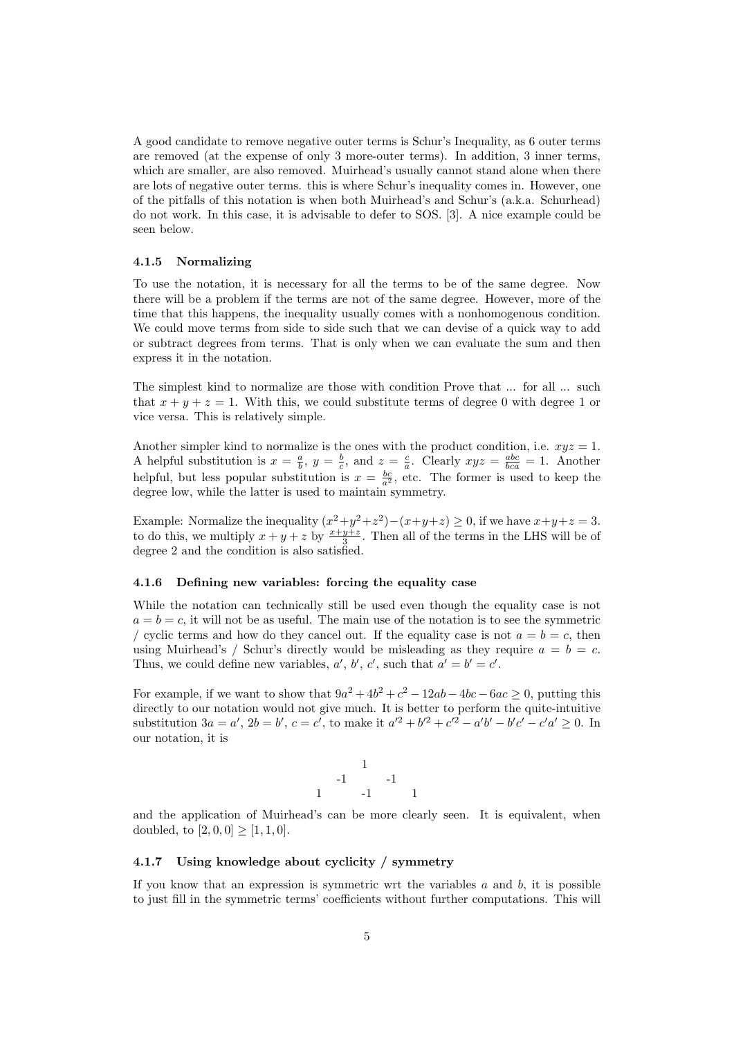A good candidate to remove negative outer terms is Schur's Inequality, as 6 outer terms are removed (at the expense of only 3 more-outer terms). In addition, 3 inner terms, which are smaller, are also removed. Muirhead's usually cannot stand alone when there are lots of negative outer terms. this is where Schur's inequality comes in. However, one of the pitfalls of this notation is when both Muirhead's and Schur's (a.k.a. Schurhead) do not work. In this case, it is advisable to defer to SOS. [3]. A nice example could be seen below.

#### 4.1.5 Normalizing

To use the notation, it is necessary for all the terms to be of the same degree. Now there will be a problem if the terms are not of the same degree. However, more of the time that this happens, the inequality usually comes with a nonhomogenous condition. We could move terms from side to side such that we can devise of a quick way to add or subtract degrees from terms. That is only when we can evaluate the sum and then express it in the notation.

The simplest kind to normalize are those with condition Prove that ... for all ... such that  $x + y + z = 1$ . With this, we could substitute terms of degree 0 with degree 1 or vice versa. This is relatively simple.

Another simpler kind to normalize is the ones with the product condition, i.e.  $xyz = 1$ . A helpful substitution is  $x = \frac{a}{b}$ ,  $y = \frac{b}{c}$ , and  $z = \frac{c}{a}$ . Clearly  $xyz = \frac{abc}{bca} = 1$ . Another helpful, but less popular substitution is  $x = \frac{bc}{a^2}$ , etc. The former is used to keep the degree low, while the latter is used to maintain symmetry.

Example: Normalize the inequality  $(x^2+y^2+z^2)-(x+y+z)\geq 0$ , if we have  $x+y+z=3$ . to do this, we multiply  $x + y + z$  by  $\frac{x+y+z}{3}$ . Then all of the terms in the LHS will be of degree 2 and the condition is also satisfied.

#### 4.1.6 Defining new variables: forcing the equality case

While the notation can technically still be used even though the equality case is not  $a = b = c$ , it will not be as useful. The main use of the notation is to see the symmetric / cyclic terms and how do they cancel out. If the equality case is not  $a = b = c$ , then using Muirhead's / Schur's directly would be misleading as they require  $a = b = c$ . Thus, we could define new variables,  $a', b', c'$ , such that  $a' = b' = c'$ .

For example, if we want to show that  $9a^2 + 4b^2 + c^2 - 12ab - 4bc - 6ac \ge 0$ , putting this directly to our notation would not give much. It is better to perform the quite-intuitive substitution  $3a = a'$ ,  $2b = b'$ ,  $c = c'$ , to make it  $a'^2 + b'^2 + c'^2 - a'b' - b'c' - c'a' \ge 0$ . In our notation, it is

$$
\begin{array}{ccccc}\n & & 1 & & \\
-1 & & -1 & & \\
1 & & -1 & & 1\n\end{array}
$$

and the application of Muirhead's can be more clearly seen. It is equivalent, when doubled, to  $[2, 0, 0] \geq [1, 1, 0].$ 

#### 4.1.7 Using knowledge about cyclicity / symmetry

If you know that an expression is symmetric wrt the variables  $a$  and  $b$ , it is possible to just fill in the symmetric terms' coefficients without further computations. This will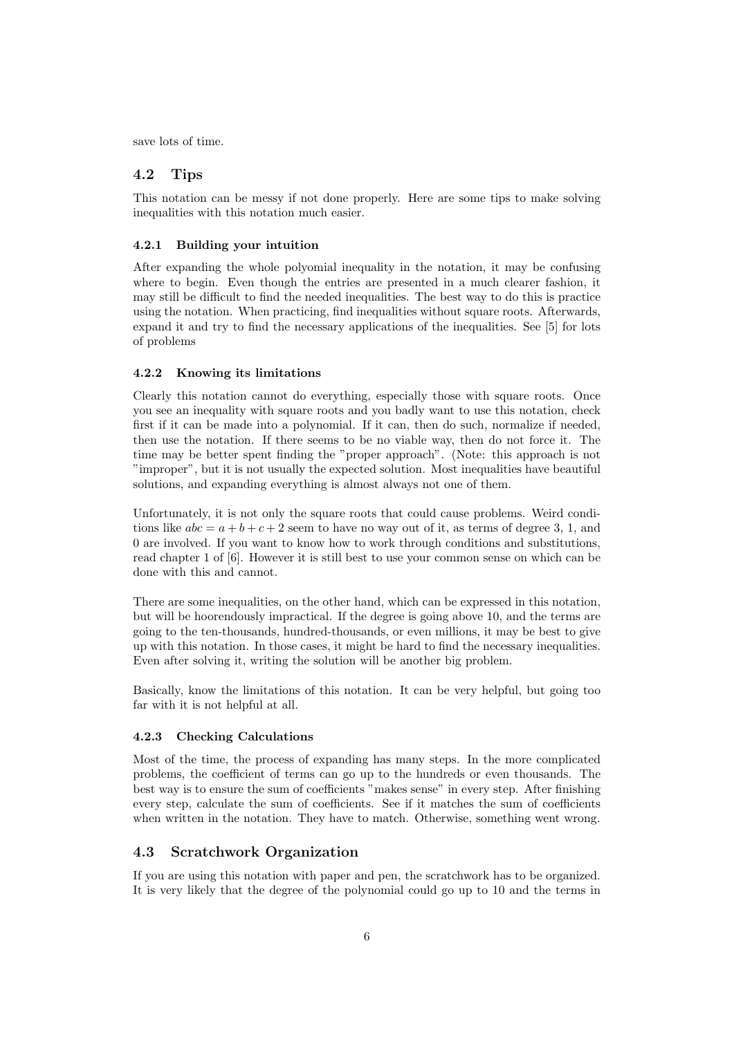save lots of time.

# 4.2 Tips

This notation can be messy if not done properly. Here are some tips to make solving inequalities with this notation much easier.

#### 4.2.1 Building your intuition

After expanding the whole polyomial inequality in the notation, it may be confusing where to begin. Even though the entries are presented in a much clearer fashion, it may still be difficult to find the needed inequalities. The best way to do this is practice using the notation. When practicing, find inequalities without square roots. Afterwards, expand it and try to find the necessary applications of the inequalities. See [5] for lots of problems

#### 4.2.2 Knowing its limitations

Clearly this notation cannot do everything, especially those with square roots. Once you see an inequality with square roots and you badly want to use this notation, check first if it can be made into a polynomial. If it can, then do such, normalize if needed, then use the notation. If there seems to be no viable way, then do not force it. The time may be better spent finding the "proper approach". (Note: this approach is not "improper", but it is not usually the expected solution. Most inequalities have beautiful solutions, and expanding everything is almost always not one of them.

Unfortunately, it is not only the square roots that could cause problems. Weird conditions like  $abc = a + b + c + 2$  seem to have no way out of it, as terms of degree 3, 1, and 0 are involved. If you want to know how to work through conditions and substitutions, read chapter 1 of [6]. However it is still best to use your common sense on which can be done with this and cannot.

There are some inequalities, on the other hand, which can be expressed in this notation, but will be hoorendously impractical. If the degree is going above 10, and the terms are going to the ten-thousands, hundred-thousands, or even millions, it may be best to give up with this notation. In those cases, it might be hard to find the necessary inequalities. Even after solving it, writing the solution will be another big problem.

Basically, know the limitations of this notation. It can be very helpful, but going too far with it is not helpful at all.

### 4.2.3 Checking Calculations

Most of the time, the process of expanding has many steps. In the more complicated problems, the coefficient of terms can go up to the hundreds or even thousands. The best way is to ensure the sum of coefficients "makes sense" in every step. After finishing every step, calculate the sum of coefficients. See if it matches the sum of coefficients when written in the notation. They have to match. Otherwise, something went wrong.

## 4.3 Scratchwork Organization

If you are using this notation with paper and pen, the scratchwork has to be organized. It is very likely that the degree of the polynomial could go up to 10 and the terms in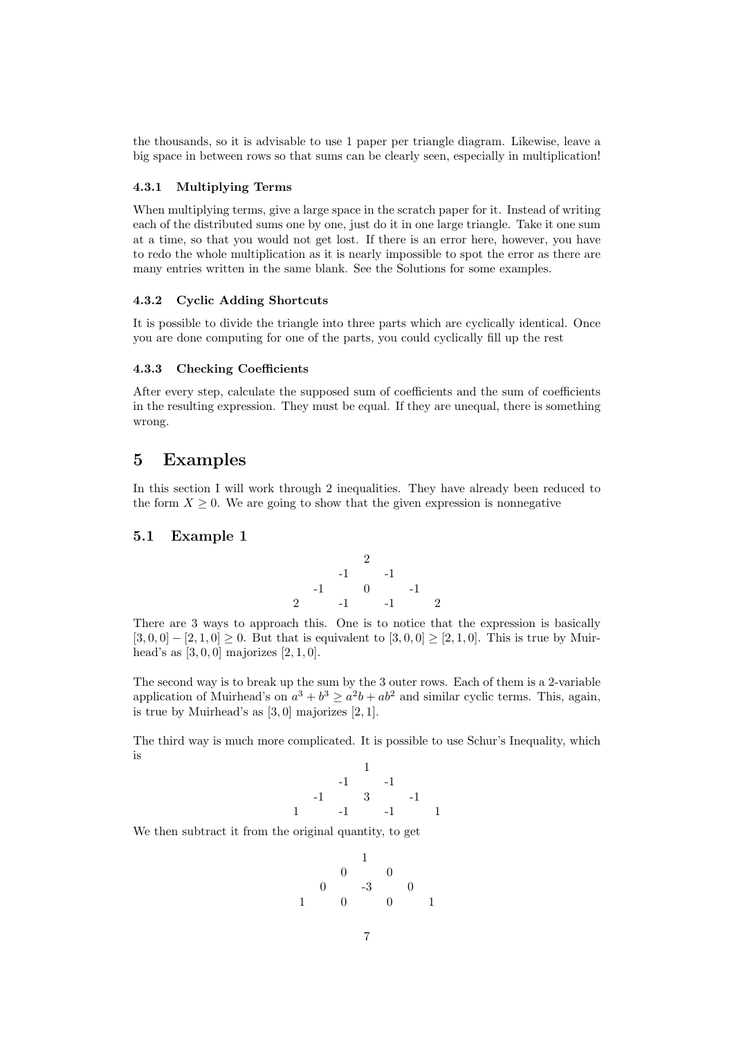the thousands, so it is advisable to use 1 paper per triangle diagram. Likewise, leave a big space in between rows so that sums can be clearly seen, especially in multiplication!

## 4.3.1 Multiplying Terms

When multiplying terms, give a large space in the scratch paper for it. Instead of writing each of the distributed sums one by one, just do it in one large triangle. Take it one sum at a time, so that you would not get lost. If there is an error here, however, you have to redo the whole multiplication as it is nearly impossible to spot the error as there are many entries written in the same blank. See the Solutions for some examples.

#### 4.3.2 Cyclic Adding Shortcuts

It is possible to divide the triangle into three parts which are cyclically identical. Once you are done computing for one of the parts, you could cyclically fill up the rest

#### 4.3.3 Checking Coefficients

After every step, calculate the supposed sum of coefficients and the sum of coefficients in the resulting expression. They must be equal. If they are unequal, there is something wrong.

# 5 Examples

In this section I will work through 2 inequalities. They have already been reduced to the form  $X \geq 0$ . We are going to show that the given expression is nonnegative

## 5.1 Example 1



There are 3 ways to approach this. One is to notice that the expression is basically  $[3, 0, 0] - [2, 1, 0] \geq 0$ . But that is equivalent to  $[3, 0, 0] \geq [2, 1, 0]$ . This is true by Muirhead's as  $[3, 0, 0]$  majorizes  $[2, 1, 0]$ .

The second way is to break up the sum by the 3 outer rows. Each of them is a 2-variable application of Muirhead's on  $a^3 + b^3 \ge a^2b + ab^2$  and similar cyclic terms. This, again, is true by Muirhead's as  $[3, 0]$  majorizes  $[2, 1]$ .

The third way is much more complicated. It is possible to use Schur's Inequality, which is

$$
\begin{array}{cccc}\n & & & & 1 & & & \\
 & & & & -1 & & & -1 & & \\
 & & & & 3 & & & -1 & & \\
 & 1 & & & -1 & & & -1 & & 1\n\end{array}
$$

We then subtract it from the original quantity, to get

$$
\begin{array}{cccc}\n & & & & 1 & & & \\
 & & & & & 0 & & \\
 & & & & & & 0 & & \\
 & & & & & & 0 & & \\
1 & & 0 & & 0 & & 0 & & 1\n\end{array}
$$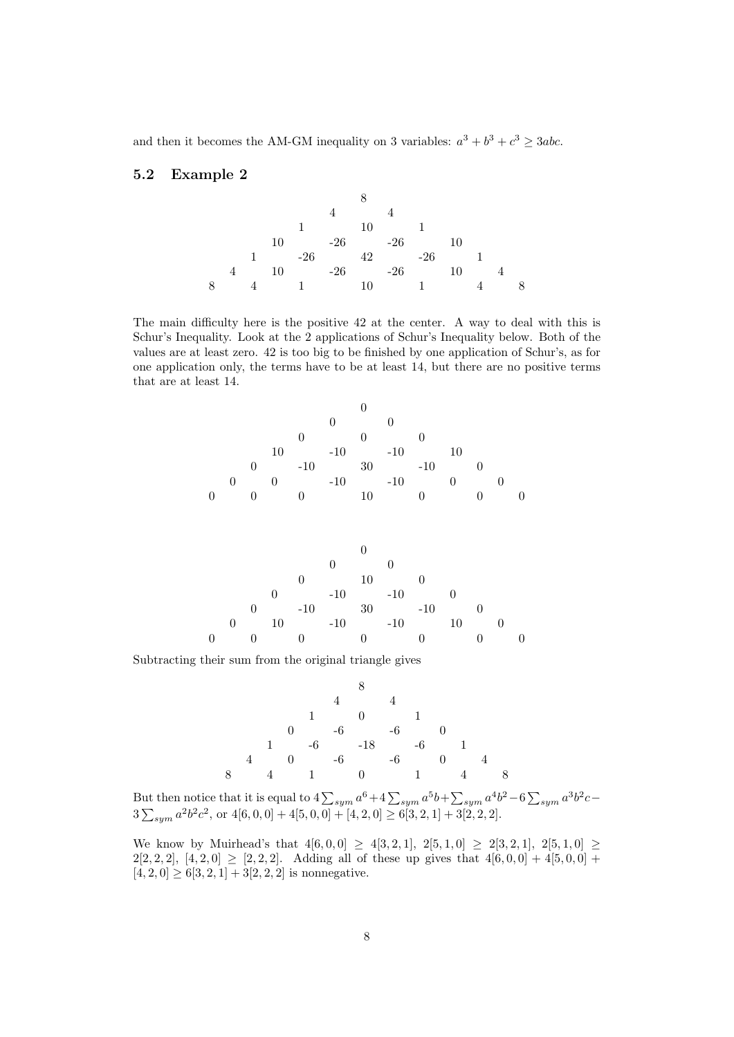and then it becomes the AM-GM inequality on 3 variables:  $a^3 + b^3 + c^3 \geq 3abc$ .

# 5.2 Example 2



The main difficulty here is the positive 42 at the center. A way to deal with this is Schur's Inequality. Look at the 2 applications of Schur's Inequality below. Both of the values are at least zero. 42 is too big to be finished by one application of Schur's, as for one application only, the terms have to be at least 14, but there are no positive terms that are at least 14.

|                |                  |   |          |       | $_{0}$ |    |       |              |    |  |  |
|----------------|------------------|---|----------|-------|--------|----|-------|--------------|----|--|--|
|                |                  |   |          |       |        |    |       |              |    |  |  |
|                |                  |   | 10       |       | $-10$  |    | $-10$ |              | 10 |  |  |
|                |                  | 0 |          | $-10$ |        | 30 |       | $-10$        |    |  |  |
|                | $\left( \right)$ |   | $\theta$ |       | $-10$  |    | $-10$ |              |    |  |  |
| $\overline{0}$ |                  |   |          |       |        | 10 |       | $\mathbf{0}$ |    |  |  |
|                |                  |   |          |       |        |    |       |              |    |  |  |



Subtracting their sum from the original triangle gives



But then notice that it is equal to  $4\sum_{sym} a^6 + 4\sum_{sym} a^5b + \sum_{sym} a^4b^2 - 6\sum_{sym} a^3b^2c 3\sum_{sym} a^2b^2c^2$ , or  $4[6,0,0] + 4[5,0,0] + [4,2,0] \ge 6[3,2,1] + 3[2,2,2]$ .

We know by Muirhead's that  $4[6, 0, 0] \ge 4[3, 2, 1]$ ,  $2[5, 1, 0] \ge 2[3, 2, 1]$ ,  $2[5, 1, 0] \ge$  $2[2, 2, 2], [4, 2, 0] \geq [2, 2, 2].$  Adding all of these up gives that  $4[6, 0, 0] + 4[5, 0, 0] +$  $[4, 2, 0] \geq 6[3, 2, 1] + 3[2, 2, 2]$  is nonnegative.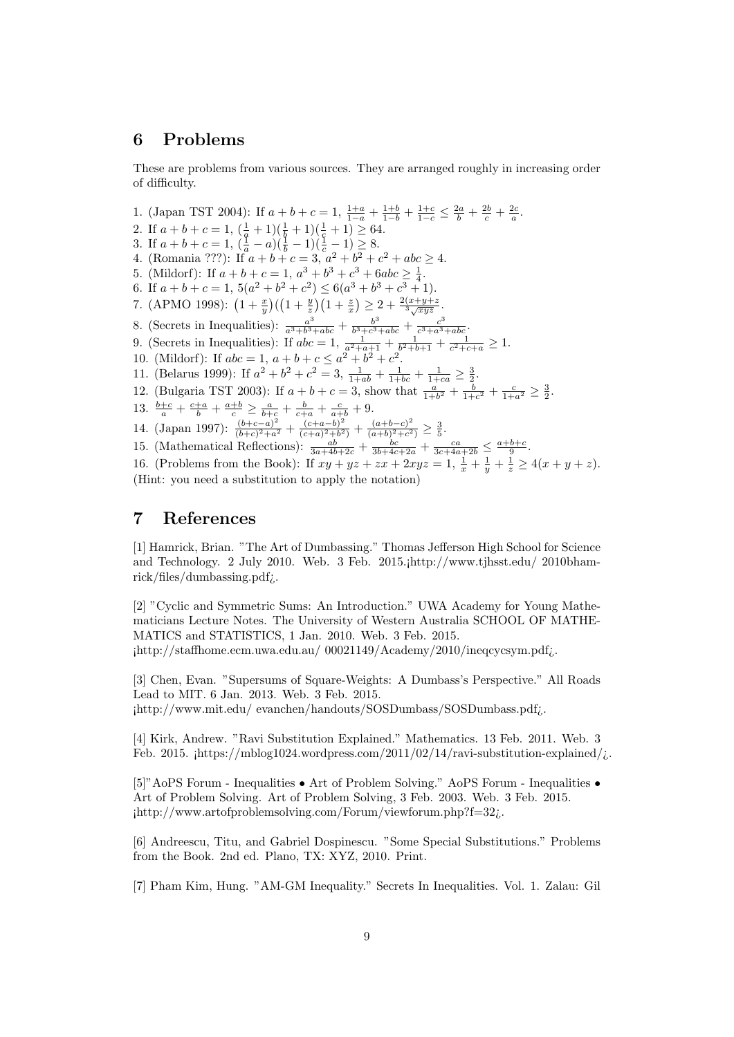# 6 Problems

These are problems from various sources. They are arranged roughly in increasing order of difficulty.

1. (Japan TST 2004): If  $a + b + c = 1$ ,  $\frac{1+a}{1-a} + \frac{1+b}{1-b} + \frac{1+c}{1-c} \leq \frac{2a}{b} + \frac{2b}{c} + \frac{2c}{a}$ . 2. If  $a + b + c = 1$ ,  $\left(\frac{1}{q} + 1\right)\left(\frac{1}{q} + 1\right)\left(\frac{1}{q} + 1\right) \ge 64$ . 3. If  $a+b+c=1$ ,  $(\frac{1}{a}-a)(\frac{1}{b}-1)(\frac{1}{c}-1) \geq 8$ . 4. (Romania ???): If  $a + b + c = 3$ ,  $a^2 + b^2 + c^2 + abc \ge 4$ . 5. (Mildorf): If  $a + b + c = 1$ ,  $a^3 + b^3 + c^3 + 6abc \geq \frac{1}{4}$ . 6. If  $a+b+c=1$ ,  $5(a^2+b^2+c^2) \leq 6(a^3+b^3+c^3+1)$ . 7. (APMO 1998):  $\left(1+\frac{x}{y}\right)\left(\left(1+\frac{y}{z}\right)\left(1+\frac{z}{x}\right)\geq 2+\frac{2(x+y+z}{3\sqrt{xyz}}\right)$ . 8. (Secrets in Inequalities):  $\frac{a^3}{a^3+b^3}$  $\frac{a^3}{a^3+b^3+abc}+\frac{b^3}{b^3+c^3}$  $\frac{b^3}{b^3+c^3+abc}+\frac{c^3}{c^3+a^3}$  $\frac{c^3}{c^3+a^3+abc}.$ 9. (Secrets in Inequalities): If  $abc = 1$ ,  $\frac{1}{a^2 + a + 1} + \frac{1}{b^2 + b + 1} + \frac{1}{c^2 + c + a} \ge 1$ . 10. (Mildorf): If  $abc = 1$ ,  $a+b+c \le a^2+b^2+c^2$ . 11. (Belarus 1999): If  $a^2 + b^2 + c^2 = 3$ ,  $\frac{1}{1+ab} + \frac{1}{1+bc} + \frac{1}{1+ca} \geq \frac{3}{2}$ . 12. (Bulgaria TST 2003): If  $a + b + c = 3$ , show that  $\frac{a}{1+b^2} + \frac{b}{1+c^2} + \frac{c}{1+a^2} \ge \frac{3}{2}$ . 13.  $\frac{b+c}{a} + \frac{c+a}{b} + \frac{a+b}{c} \ge \frac{a}{b+c} + \frac{b}{c+a} + \frac{c}{a+b} + 9.$ 14. (Japan 1997):  $\frac{(b+c-a)^2}{(b+c)^2+a^2}$  $\frac{(b+c-a)^2}{(b+c)^2+a^2} + \frac{(c+a-b)^2}{(c+a)^2+b^2}$  $\frac{(c+a-b)^2}{(c+a)^2+b^2} + \frac{(a+b-c)^2}{(a+b)^2+c^2}$  $\frac{(a+b-c)^2}{(a+b)^2+c^2} \geq \frac{3}{5}.$ 15. (Mathematical Reflections):  $\frac{ab}{3a+4b+2c} + \frac{bc}{3b+4c+2a} + \frac{ca}{3c+4a+2b} \leq \frac{a+b+c}{9}$ .

16. (Problems from the Book): If  $xy + yz + zx + 2xyz = 1$ ,  $\frac{1}{x} + \frac{1}{y} + \frac{1}{z} \ge 4(x + y + z)$ .

(Hint: you need a substitution to apply the notation)

# 7 References

[1] Hamrick, Brian. "The Art of Dumbassing." Thomas Jefferson High School for Science and Technology. 2 July 2010. Web. 3 Feb. 2015.¡http://www.tjhsst.edu/ 2010bhamrick/files/dumbassing.pdf¿.

[2] "Cyclic and Symmetric Sums: An Introduction." UWA Academy for Young Mathematicians Lecture Notes. The University of Western Australia SCHOOL OF MATHE-MATICS and STATISTICS, 1 Jan. 2010. Web. 3 Feb. 2015. ¡http://staffhome.ecm.uwa.edu.au/ 00021149/Academy/2010/ineqcycsym.pdf¿.

[3] Chen, Evan. "Supersums of Square-Weights: A Dumbass's Perspective." All Roads Lead to MIT. 6 Jan. 2013. Web. 3 Feb. 2015. ¡http://www.mit.edu/ evanchen/handouts/SOSDumbass/SOSDumbass.pdf¿.

[4] Kirk, Andrew. "Ravi Substitution Explained." Mathematics. 13 Feb. 2011. Web. 3 Feb. 2015.  $\frac{1}{2}$  [Https://mblog1024.wordpress.com/2011/02/14/ravi-substitution-explained/ $\frac{1}{2}$ .

[5]"AoPS Forum - Inequalities • Art of Problem Solving." AoPS Forum - Inequalities • Art of Problem Solving. Art of Problem Solving, 3 Feb. 2003. Web. 3 Feb. 2015. ¡http://www.artofproblemsolving.com/Forum/viewforum.php?f=32¿.

[6] Andreescu, Titu, and Gabriel Dospinescu. "Some Special Substitutions." Problems from the Book. 2nd ed. Plano, TX: XYZ, 2010. Print.

[7] Pham Kim, Hung. "AM-GM Inequality." Secrets In Inequalities. Vol. 1. Zalau: Gil